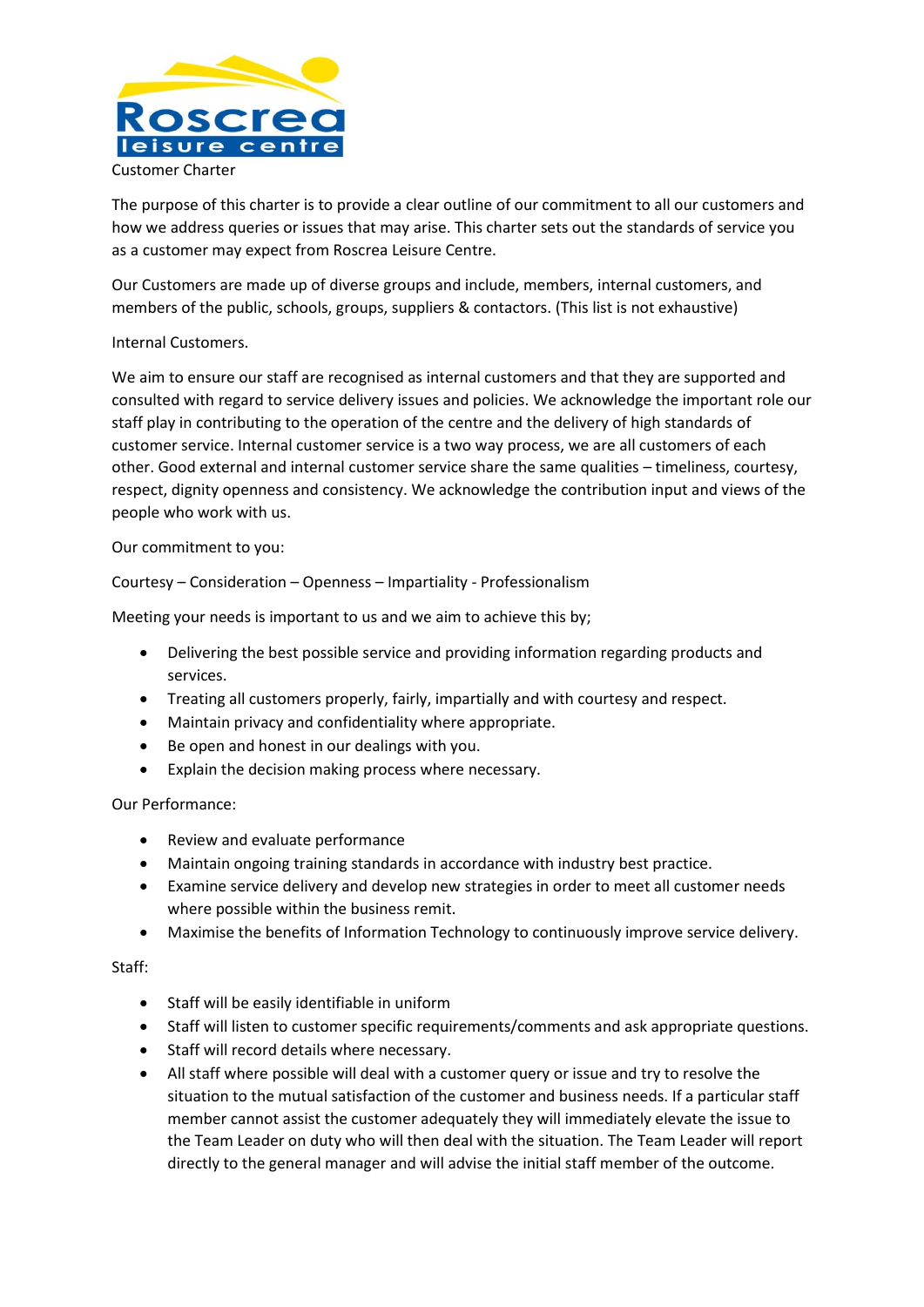

The purpose of this charter is to provide a clear outline of our commitment to all our customers and how we address queries or issues that may arise. This charter sets out the standards of service you as a customer may expect from Roscrea Leisure Centre.

Our Customers are made up of diverse groups and include, members, internal customers, and members of the public, schools, groups, suppliers & contactors. (This list is not exhaustive)

# Internal Customers.

We aim to ensure our staff are recognised as internal customers and that they are supported and consulted with regard to service delivery issues and policies. We acknowledge the important role our staff play in contributing to the operation of the centre and the delivery of high standards of customer service. Internal customer service is a two way process, we are all customers of each other. Good external and internal customer service share the same qualities – timeliness, courtesy, respect, dignity openness and consistency. We acknowledge the contribution input and views of the people who work with us.

## Our commitment to you:

Courtesy – Consideration – Openness – Impartiality - Professionalism

Meeting your needs is important to us and we aim to achieve this by;

- Delivering the best possible service and providing information regarding products and services.
- Treating all customers properly, fairly, impartially and with courtesy and respect.
- Maintain privacy and confidentiality where appropriate.
- Be open and honest in our dealings with you.
- Explain the decision making process where necessary.

### Our Performance:

- Review and evaluate performance
- Maintain ongoing training standards in accordance with industry best practice.
- Examine service delivery and develop new strategies in order to meet all customer needs where possible within the business remit.
- Maximise the benefits of Information Technology to continuously improve service delivery.

### Staff:

- Staff will be easily identifiable in uniform
- Staff will listen to customer specific requirements/comments and ask appropriate questions.
- Staff will record details where necessary.
- All staff where possible will deal with a customer query or issue and try to resolve the situation to the mutual satisfaction of the customer and business needs. If a particular staff member cannot assist the customer adequately they will immediately elevate the issue to the Team Leader on duty who will then deal with the situation. The Team Leader will report directly to the general manager and will advise the initial staff member of the outcome.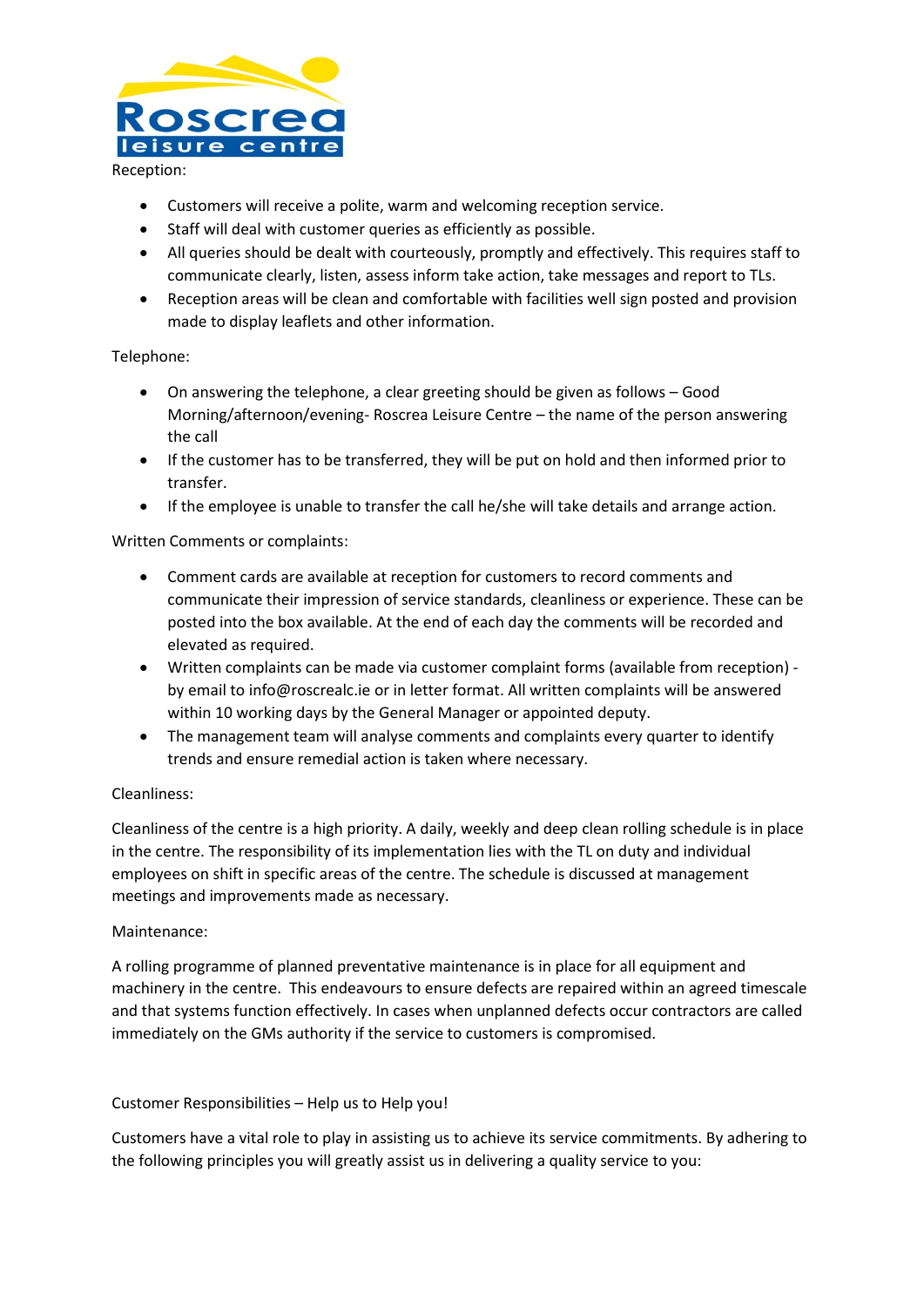

Reception:

- Customers will receive a polite, warm and welcoming reception service.
- Staff will deal with customer queries as efficiently as possible.
- All queries should be dealt with courteously, promptly and effectively. This requires staff to communicate clearly, listen, assess inform take action, take messages and report to TLs.
- Reception areas will be clean and comfortable with facilities well sign posted and provision made to display leaflets and other information.

### Telephone:

- On answering the telephone, a clear greeting should be given as follows Good Morning/afternoon/evening- Roscrea Leisure Centre – the name of the person answering the call
- If the customer has to be transferred, they will be put on hold and then informed prior to transfer.
- If the employee is unable to transfer the call he/she will take details and arrange action.

## Written Comments or complaints:

- Comment cards are available at reception for customers to record comments and communicate their impression of service standards, cleanliness or experience. These can be posted into the box available. At the end of each day the comments will be recorded and elevated as required.
- Written complaints can be made via customer complaint forms (available from reception) by email to info@roscrealc.ie or in letter format. All written complaints will be answered within 10 working days by the General Manager or appointed deputy.
- The management team will analyse comments and complaints every quarter to identify trends and ensure remedial action is taken where necessary.

### Cleanliness:

Cleanliness of the centre is a high priority. A daily, weekly and deep clean rolling schedule is in place in the centre. The responsibility of its implementation lies with the TL on duty and individual employees on shift in specific areas of the centre. The schedule is discussed at management meetings and improvements made as necessary.

### Maintenance:

A rolling programme of planned preventative maintenance is in place for all equipment and machinery in the centre. This endeavours to ensure defects are repaired within an agreed timescale and that systems function effectively. In cases when unplanned defects occur contractors are called immediately on the GMs authority if the service to customers is compromised.

### Customer Responsibilities – Help us to Help you!

Customers have a vital role to play in assisting us to achieve its service commitments. By adhering to the following principles you will greatly assist us in delivering a quality service to you: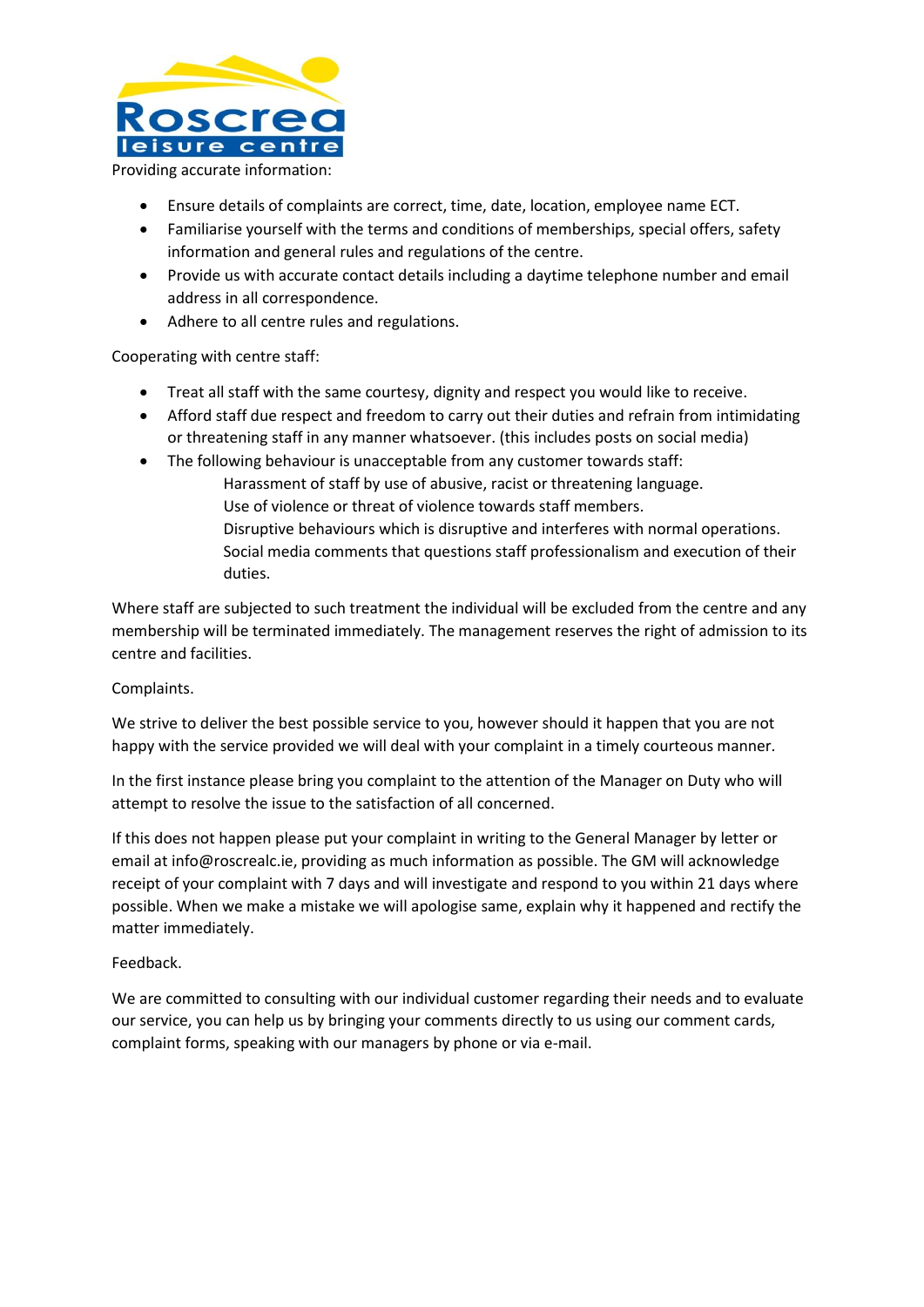

Providing accurate information:

- Ensure details of complaints are correct, time, date, location, employee name ECT.
- Familiarise yourself with the terms and conditions of memberships, special offers, safety information and general rules and regulations of the centre.
- Provide us with accurate contact details including a daytime telephone number and email address in all correspondence.
- Adhere to all centre rules and regulations.

Cooperating with centre staff:

- Treat all staff with the same courtesy, dignity and respect you would like to receive.
- Afford staff due respect and freedom to carry out their duties and refrain from intimidating or threatening staff in any manner whatsoever. (this includes posts on social media)
- The following behaviour is unacceptable from any customer towards staff:
	- Harassment of staff by use of abusive, racist or threatening language. Use of violence or threat of violence towards staff members. Disruptive behaviours which is disruptive and interferes with normal operations. Social media comments that questions staff professionalism and execution of their
- duties. Where staff are subjected to such treatment the individual will be excluded from the centre and any

membership will be terminated immediately. The management reserves the right of admission to its centre and facilities.

### Complaints.

We strive to deliver the best possible service to you, however should it happen that you are not happy with the service provided we will deal with your complaint in a timely courteous manner.

In the first instance please bring you complaint to the attention of the Manager on Duty who will attempt to resolve the issue to the satisfaction of all concerned.

If this does not happen please put your complaint in writing to the General Manager by letter or email at info@roscrealc.ie, providing as much information as possible. The GM will acknowledge receipt of your complaint with 7 days and will investigate and respond to you within 21 days where possible. When we make a mistake we will apologise same, explain why it happened and rectify the matter immediately.

### Feedback.

We are committed to consulting with our individual customer regarding their needs and to evaluate our service, you can help us by bringing your comments directly to us using our comment cards, complaint forms, speaking with our managers by phone or via e-mail.